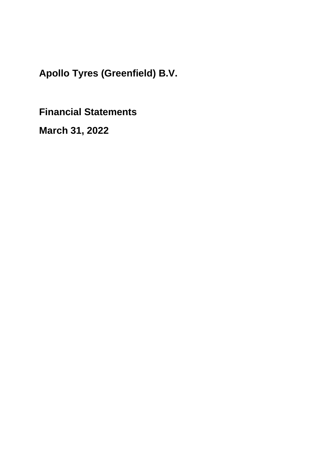**Financial Statements**

**March 31, 2022**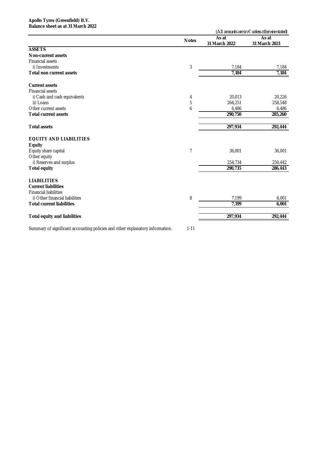#### **Apollo Tyres (Greenfield) B.V. Balance sheet as at 31 March 2022**

|                                                                               |                |               | (All amounts are in $\epsilon$ unless otherwise stated) |
|-------------------------------------------------------------------------------|----------------|---------------|---------------------------------------------------------|
|                                                                               | <b>Notes</b>   | As at         | As at                                                   |
|                                                                               |                | 31 March 2022 | 31 March 2021                                           |
| <b>ASSETS</b>                                                                 |                |               |                                                         |
| Non-current assets                                                            |                |               |                                                         |
| <b>Financial assets</b>                                                       |                |               |                                                         |
| i) Investments                                                                | 3              | 7,184         | 7,184                                                   |
| <b>Total non current assets</b>                                               |                | 7,184         | 7,184                                                   |
| <b>Current assets</b>                                                         |                |               |                                                         |
| <b>Financial assets</b>                                                       |                |               |                                                         |
| i) Cash and cash equivalents                                                  | 4              | 20,013        | 20,226                                                  |
| ii) Loans                                                                     | 5              | 264,251       | 258,548                                                 |
| Other current assets                                                          | 6              | 6,486         | 6,486                                                   |
| <b>Total current assets</b>                                                   |                | 290,750       | 285,260                                                 |
| <b>Total assets</b>                                                           |                | 297,934       | 292,444                                                 |
|                                                                               |                |               |                                                         |
| <b>EQUITY AND LIABILITIES</b>                                                 |                |               |                                                         |
| <b>Equity</b>                                                                 |                |               |                                                         |
| Equity share capital                                                          | $\overline{7}$ | 36,001        | 36,001                                                  |
| Other equity                                                                  |                |               |                                                         |
| i) Reserves and surplus                                                       |                | 254,734       | 250,442                                                 |
| <b>Total equity</b>                                                           |                | 290,735       | 286,443                                                 |
| <b>LIABILITIES</b>                                                            |                |               |                                                         |
| <b>Current liabilities</b>                                                    |                |               |                                                         |
| <b>Financial liabilities</b>                                                  |                |               |                                                         |
| i) Other financial liabilities                                                | 8              | 7,199         | 6,001                                                   |
| <b>Total current liabilities</b>                                              |                | 7.199         | 6,001                                                   |
| <b>Total equity and liabilities</b>                                           |                | 297,934       | 292,444                                                 |
|                                                                               |                |               |                                                         |
| Summary of significant accounting policies and other explanatory information. | $1 - 11$       |               |                                                         |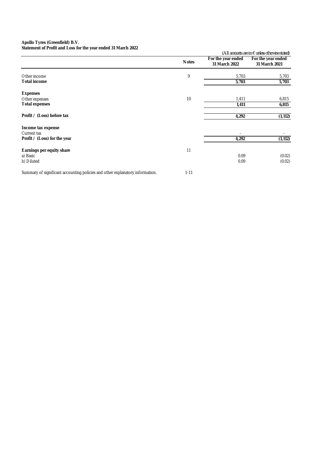**Statement of Profit and Loss for the year ended 31 March 2022**

| <b>Statement of Front and Loss for the year ended 31 ividitil 2022</b>        |              |                                     | (All amounts are in $\epsilon$ unless otherwise stated) |
|-------------------------------------------------------------------------------|--------------|-------------------------------------|---------------------------------------------------------|
|                                                                               | <b>Notes</b> | For the year ended<br>31 March 2022 | For the year ended<br>31 March 2021                     |
| Other income                                                                  | 9            | 5,703                               | 5,703                                                   |
| <b>Total income</b>                                                           |              | 5,703                               | 5,703                                                   |
| <b>Expenses</b>                                                               |              |                                     |                                                         |
| Other expenses                                                                | 10           | 1,411                               | 6,815                                                   |
| <b>Total expenses</b>                                                         |              | 1,411                               | 6,815                                                   |
| Profit / (Loss) before tax                                                    |              | 4,292                               | (1, 112)                                                |
| Income tax expense<br>Current tax                                             |              |                                     |                                                         |
| Profit / (Loss) for the year                                                  |              | 4,292                               | (1, 112)                                                |
| <b>Earnings per equity share</b>                                              | 11           |                                     |                                                         |
| a) Basic                                                                      |              | 0.09                                | (0.02)                                                  |
| b) Diluted                                                                    |              | 0.09                                | (0.02)                                                  |
| Summary of significant accounting policies and other explanatory information. | $1 - 11$     |                                     |                                                         |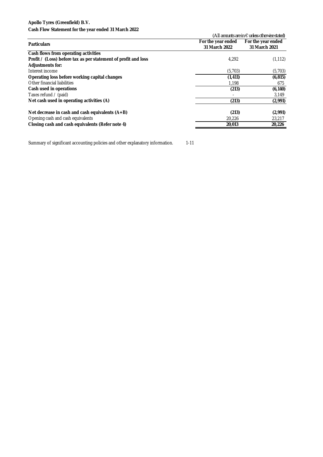**Cash Flow Statement for the year ended 31 March 2022**

| <u> Jashi Livit Jiaithingin ith ing juar chaua yi marun Evee</u> |                                                         |                    |  |
|------------------------------------------------------------------|---------------------------------------------------------|--------------------|--|
|                                                                  | (All amounts are in $\epsilon$ unless otherwise stated) |                    |  |
|                                                                  | For the year ended                                      | For the year ended |  |
| <b>Particulars</b>                                               | 31 March 2022                                           | 31 March 2021      |  |
| Cash flows from operating activities                             |                                                         |                    |  |
| Profit / (Loss) before tax as per statement of profit and loss   | 4.292                                                   | (1, 112)           |  |
| <b>Adjustments for:</b>                                          |                                                         |                    |  |
| Interest income                                                  | (5,703)                                                 | (5,703)            |  |
| Operating loss before working capital changes                    | (1, 411)                                                | (6, 815)           |  |
| Other financial liabilities                                      | 1,198                                                   | 675                |  |
| Cash used in operations                                          | (213)                                                   | (6, 140)           |  |
| Taxes refund $\prime$ (paid)                                     |                                                         | 3,149              |  |
| Net cash used in operating activities (A)                        | (213)                                                   | (2,991)            |  |
| Net decrease in cash and cash equivalents $(A+B)$                | (213)                                                   | (2,991)            |  |
| Opening cash and cash equivalents                                | 20,226                                                  | 23,217             |  |
| Closing cash and cash equivalents (Refer note 4)                 | 20,013                                                  | 20,226             |  |

Summary of significant accounting policies and other explanatory information. 1-11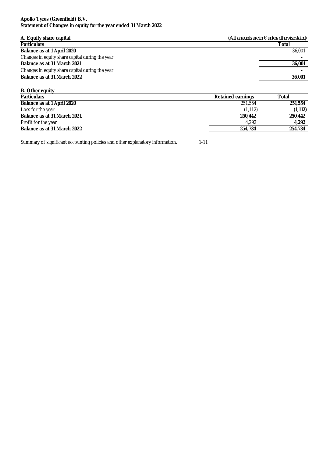#### **Apollo Tyres (Greenfield) B.V. Statement of Changes in equity for the year ended 31 March 2022**

| A. Equity share capital                         | (All amounts are in $\epsilon$ unless otherwise stated) |
|-------------------------------------------------|---------------------------------------------------------|
| <b>Particulars</b>                              | Total                                                   |
| Balance as at 1 April 2020                      | 36,001                                                  |
| Changes in equity share capital during the year |                                                         |
| Balance as at 31 March 2021                     | 36,001                                                  |
| Changes in equity share capital during the year |                                                         |
| Balance as at 31 March 2022                     | 36,001                                                  |
|                                                 |                                                         |

| <b>B.</b> Other equity      |                          |          |
|-----------------------------|--------------------------|----------|
| <b>Particulars</b>          | <b>Retained earnings</b> | Total    |
| Balance as at 1 April 2020  | 251,554                  | 251,554  |
| Loss for the year           | (1, 112)                 | (1, 112) |
| Balance as at 31 March 2021 | 250,442                  | 250,442  |
| Profit for the year         | 4.292                    | 4.292    |
| Balance as at 31 March 2022 | 254,734                  | 254,734  |
|                             |                          |          |

Summary of significant accounting policies and other explanatory information. 1-11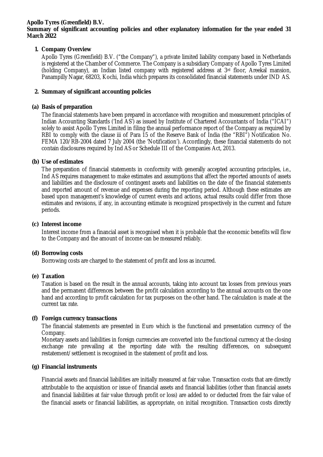#### **Summary of significant accounting policies and other explanatory information for the year ended 31 March 2022**

# **1. Company Overview**

Apollo Tyres (Greenfield) B.V. ("the Company"), a private limited liability company based in Netherlands is registered at the Chamber of Commerce. The Company is a subsidiary Company of Apollo Tyres Limited (holding Company), an Indian listed company with registered address at  $3<sup>rd</sup>$  floor, Areekal mansion, Panampilly Nagar, 68203, Kochi, India which prepares its consolidated financial statements under IND AS.

# **2. Summary of significant accounting policies**

# **(a) Basis of preparation**

The financial statements have been prepared in accordance with recognition and measurement principles of Indian Accounting Standards ('Ind AS') as issued by Institute of Chartered Accountants of India ("ICAI") solely to assist Apollo Tyres Limited in filing the annual performance report of the Company as required by RBI to comply with the clause iii of Para 15 of the Reserve Bank of India (the "RBI") Notification No. FEMA 120/RB-2004 dated 7 July 2004 (the 'Notification'). Accordingly, these financial statements do not contain disclosures required by Ind AS or Schedule III of the Companies Act, 2013.

# **(b) Use of estimates**

The preparation of financial statements in conformity with generally accepted accounting principles, i.e., Ind AS requires management to make estimates and assumptions that affect the reported amounts of assets and liabilities and the disclosure of contingent assets and liabilities on the date of the financial statements and reported amount of revenue and expenses during the reporting period. Although these estimates are based upon management's knowledge of current events and actions, actual results could differ from those estimates and revisions, if any, in accounting estimate is recognized prospectively in the current and future periods.

## **(c) Interest income**

Interest income from a financial asset is recognised when it is probable that the economic benefits will flow to the Company and the amount of income can be measured reliably.

## **(d) Borrowing costs**

Borrowing costs are charged to the statement of profit and loss as incurred.

## **(e) Taxation**

Taxation is based on the result in the annual accounts, taking into account tax losses from previous years and the permanent differences between the profit calculation according to the annual accounts on the one hand and according to profit calculation for tax purposes on the other hand. The calculation is made at the current tax rate.

## **(f) Foreign currency transactions**

The financial statements are presented in Euro which is the functional and presentation currency of the Company.

Monetary assets and liabilities in foreign currencies are converted into the functional currency at the closing exchange rate prevailing at the reporting date with the resulting differences, on subsequent restatement/settlement is recognised in the statement of profit and loss.

## **(g) Financial instruments**

Financial assets and financial liabilities are initially measured at fair value. Transaction costs that are directly attributable to the acquisition or issue of financial assets and financial liabilities (other than financial assets and financial liabilities at fair value through profit or loss) are added to or deducted from the fair value of the financial assets or financial liabilities, as appropriate, on initial recognition. Transaction costs directly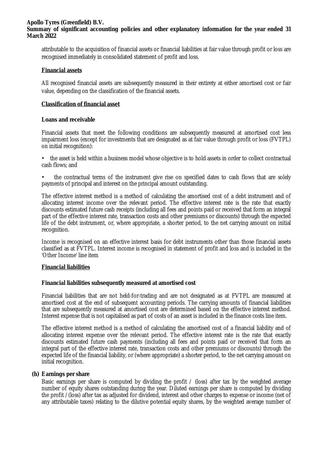# **Summary of significant accounting policies and other explanatory information for the year ended 31 March 2022**

attributable to the acquisition of financial assets or financial liabilities at fair value through profit or loss are recognised immediately in consolidated statement of profit and loss.

#### **Financial assets**

All recognised financial assets are subsequently measured in their entirety at either amortised cost or fair value, depending on the classification of the financial assets.

#### **Classification of financial asset**

#### **Loans and receivable**

Financial assets that meet the following conditions are subsequently measured at amortised cost less impairment loss (except for investments that are designated as at fair value through profit or loss (FVTPL) on initial recognition):

- the asset is held within a business model whose objective is to hold assets in order to collect contractual cash flows; and
- the contractual terms of the instrument give rise on specified dates to cash flows that are solely payments of principal and interest on the principal amount outstanding.

The effective interest method is a method of calculating the amortised cost of a debt instrument and of allocating interest income over the relevant period. The effective interest rate is the rate that exactly discounts estimated future cash receipts (including all fees and points paid or received that form an integral part of the effective interest rate, transaction costs and other premiums or discounts) through the expected life of the debt instrument, or, where appropriate, a shorter period, to the net carrying amount on initial recognition.

Income is recognised on an effective interest basis for debt instruments other than those financial assets classified as at FVTPL. Interest income is recognised in statement of profit and loss and is included in the 'Other Income' line item

#### **Financial liabilities**

## **Financial liabilities subsequently measured at amortised cost**

Financial liabilities that are not held-for-trading and are not designated as at FVTPL are measured at amortised cost at the end of subsequent accounting periods. The carrying amounts of financial liabilities that are subsequently measured at amortised cost are determined based on the effective interest method. Interest expense that is not capitalised as part of costs of an asset is included in the finance costs line item.

The effective interest method is a method of calculating the amortised cost of a financial liability and of allocating interest expense over the relevant period. The effective interest rate is the rate that exactly discounts estimated future cash payments (including all fees and points paid or received that form an integral part of the effective interest rate, transaction costs and other premiums or discounts) through the expected life of the financial liability, or (where appropriate) a shorter period, to the net carrying amount on initial recognition.

## **(h) Earnings per share**

Basic earnings per share is computed by dividing the profit / (loss) after tax by the weighted average number of equity shares outstanding during the year. Diluted earnings per share is computed by dividing the profit /(loss) after tax as adjusted for dividend, interest and other charges to expense or income (net of any attributable taxes) relating to the dilutive potential equity shares, by the weighted average number of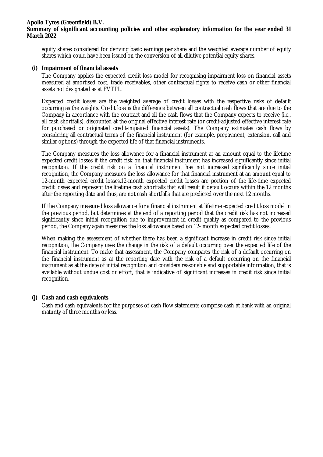#### **Apollo Tyres (Greenfield) B.V. Summary of significant accounting policies and other explanatory information for the year ended 31 March 2022**

equity shares considered for deriving basic earnings per share and the weighted average number of equity shares which could have been issued on the conversion of all dilutive potential equity shares.

#### **(i) Impairment of financial assets**

The Company applies the expected credit loss model for recognising impairment loss on financial assets measured at amortised cost, trade receivables, other contractual rights to receive cash or other financial assets not designated as at FVTPL.

Expected credit losses are the weighted average of credit losses with the respective risks of default occurring as the weights. Credit loss is the difference between all contractual cash flows that are due to the Company in accordance with the contract and all the cash flows that the Company expects to receive (i.e., all cash shortfalls), discounted at the original effective interest rate (or credit-adjusted effective interest rate for purchased or originated credit-impaired financial assets). The Company estimates cash flows by considering all contractual terms of the financial instrument (for example, prepayment, extension, call and similar options) through the expected life of that financial instruments.

The Company measures the loss allowance for a financial instrument at an amount equal to the lifetime expected credit losses if the credit risk on that financial instrument has increased significantly since initial recognition. If the credit risk on a financial instrument has not increased significantly since initial recognition, the Company measures the loss allowance for that financial instrument at an amount equal to 12-month expected credit losses.12-month expected credit losses are portion of the life-time expected credit losses and represent the lifetime cash shortfalls that will result if default occurs within the 12 months after the reporting date and thus, are not cash shortfalls that are predicted over the next 12 months.

If the Company measured loss allowance for a financial instrument at lifetime expected credit loss model in the previous period, but determines at the end of a reporting period that the credit risk has not increased significantly since initial recognition due to improvement in credit quality as compared to the previous period, the Company again measures the loss allowance based on 12- month expected credit losses.

When making the assessment of whether there has been a significant increase in credit risk since initial recognition, the Company uses the change in the risk of a default occurring over the expected life of the financial instrument. To make that assessment, the Company compares the risk of a default occurring on the financial instrument as at the reporting date with the risk of a default occurring on the financial instrument as at the date of initial recognition and considers reasonable and supportable information, that is available without undue cost or effort, that is indicative of significant increases in credit risk since initial recognition.

## **(j) Cash and cash equivalents**

Cash and cash equivalents for the purposes of cash flow statements comprise cash at bank with an original maturity of three months or less.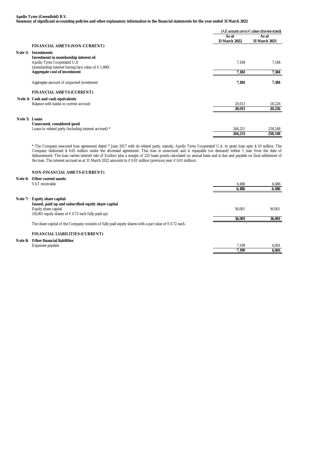**Summary of significant accounting policies and other explanatory information to the financial statements for the year ended 31 March 2022**

|               |                                                                                             |                        | (All amounts are in $\epsilon$ unless otherwise stated) |  |
|---------------|---------------------------------------------------------------------------------------------|------------------------|---------------------------------------------------------|--|
|               |                                                                                             | As at<br>31 March 2022 | As at<br>31 March 2021                                  |  |
|               | <b>FINANCIAL ASSETS (NON-CURRENT)</b>                                                       |                        |                                                         |  |
| Note 3:       | <b>Investments</b><br>Investment in membership interest of:<br>Apollo Tyres Cooperatief U.A | 7,184                  | 7.184                                                   |  |
|               | (membership interest having face value of $\epsilon$ 1,000)<br>Aggregate cost of investment | 7,184                  | 7,184                                                   |  |
|               | Aggregate amount of unquoted investment                                                     | 7,184                  | 7.184                                                   |  |
|               | <b>FINANCIAL ASSETS (CURRENT)</b>                                                           |                        |                                                         |  |
|               | Note 4: Cash and cash equivalents                                                           |                        |                                                         |  |
|               | Balance with banks in current account                                                       | 20,013<br>20,013       | 20,226<br>20,226                                        |  |
| Note 5: Loans |                                                                                             |                        |                                                         |  |
|               | Unsecured, considered good                                                                  |                        |                                                         |  |
|               | Loans to related party (including interest accrued) *                                       | 264,251                | 258,548                                                 |  |
|               |                                                                                             | 264,251                | 258,548                                                 |  |

\* The Company executed loan agreement dated 7 June 2017 with its related party, namely, Apollo Tyres Cooperatief U.A. to grant loan upto \$ 10 million. The Company disbursed \$ 6.65 million under the aforesaid agreement. This loan is unsecured and is repayable (on demand) within 1 year from the date of disbursement. The loan carries interest rate of Euribor plus a margin of 225 basis points calculated on annual basis and is due and payable on final settlement of the loan. The interest accrued as at 31 March 2022 amounts to € 0.01 million (previous year: € 0.01 million).

#### **NON-FINANCIAL ASSETS (CURRENT)**

#### **Note 6: Other current assets**

|         | VAT receivable                                                                                                  | 6,486  | 6,486  |
|---------|-----------------------------------------------------------------------------------------------------------------|--------|--------|
|         |                                                                                                                 | 6,486  | 6,486  |
|         |                                                                                                                 |        |        |
| Note 7: | Equity share capital                                                                                            |        |        |
|         | Issued, paid up and subscribed equity share capital                                                             |        |        |
|         | Equity share capital                                                                                            | 36.001 | 36,001 |
|         | $(50,001$ equity shares of $\in 0.72$ each fully paid-up)                                                       |        |        |
|         |                                                                                                                 | 36,001 | 36,001 |
|         | The share capital of the Company consists of fully paid equity shares with a par value of $\epsilon$ 0.72 each. |        |        |
|         | <b>FINANCIAL LIABILITIES (CURRENT)</b>                                                                          |        |        |
|         |                                                                                                                 |        |        |
| Note 8: | <b>Other financial liabilities</b>                                                                              |        |        |
|         | Expenses payable                                                                                                | 7.199  | 6,001  |
|         |                                                                                                                 | 7,199  | 6,001  |